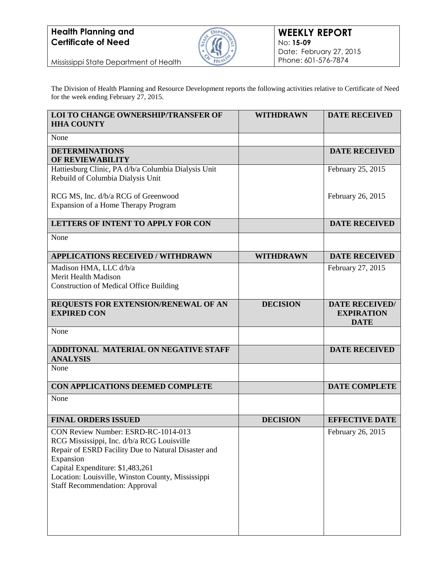## **Health Planning and Certificate of Need**



Mississippi State Department of Health

The Division of Health Planning and Resource Development reports the following activities relative to Certificate of Need for the week ending February 27, 2015.

| <b>LOI TO CHANGE OWNERSHIP/TRANSFER OF</b><br><b>HHA COUNTY</b>                                                                                                                                                                                                                         | <b>WITHDRAWN</b> | <b>DATE RECEIVED</b>                                      |
|-----------------------------------------------------------------------------------------------------------------------------------------------------------------------------------------------------------------------------------------------------------------------------------------|------------------|-----------------------------------------------------------|
| None                                                                                                                                                                                                                                                                                    |                  |                                                           |
| <b>DETERMINATIONS</b><br>OF REVIEWABILITY                                                                                                                                                                                                                                               |                  | <b>DATE RECEIVED</b>                                      |
| Hattiesburg Clinic, PA d/b/a Columbia Dialysis Unit<br>Rebuild of Columbia Dialysis Unit                                                                                                                                                                                                |                  | February 25, 2015                                         |
| RCG MS, Inc. d/b/a RCG of Greenwood<br>Expansion of a Home Therapy Program                                                                                                                                                                                                              |                  | February 26, 2015                                         |
| LETTERS OF INTENT TO APPLY FOR CON                                                                                                                                                                                                                                                      |                  | <b>DATE RECEIVED</b>                                      |
| None                                                                                                                                                                                                                                                                                    |                  |                                                           |
| <b>APPLICATIONS RECEIVED / WITHDRAWN</b>                                                                                                                                                                                                                                                | <b>WITHDRAWN</b> | <b>DATE RECEIVED</b>                                      |
| Madison HMA, LLC d/b/a<br>Merit Health Madison<br><b>Construction of Medical Office Building</b>                                                                                                                                                                                        |                  | February 27, 2015                                         |
| REQUESTS FOR EXTENSION/RENEWAL OF AN<br><b>EXPIRED CON</b>                                                                                                                                                                                                                              | <b>DECISION</b>  | <b>DATE RECEIVED/</b><br><b>EXPIRATION</b><br><b>DATE</b> |
| None                                                                                                                                                                                                                                                                                    |                  |                                                           |
| <b>ADDITONAL MATERIAL ON NEGATIVE STAFF</b><br><b>ANALYSIS</b>                                                                                                                                                                                                                          |                  | <b>DATE RECEIVED</b>                                      |
| None                                                                                                                                                                                                                                                                                    |                  |                                                           |
| CON APPLICATIONS DEEMED COMPLETE                                                                                                                                                                                                                                                        |                  | <b>DATE COMPLETE</b>                                      |
| None                                                                                                                                                                                                                                                                                    |                  |                                                           |
| <b>FINAL ORDERS ISSUED</b>                                                                                                                                                                                                                                                              | <b>DECISION</b>  | <b>EFFECTIVE DATE</b>                                     |
| CON Review Number: ESRD-RC-1014-013<br>RCG Mississippi, Inc. d/b/a RCG Louisville<br>Repair of ESRD Facility Due to Natural Disaster and<br>Expansion<br>Capital Expenditure: \$1,483,261<br>Location: Louisville, Winston County, Mississippi<br><b>Staff Recommendation: Approval</b> |                  | February 26, 2015                                         |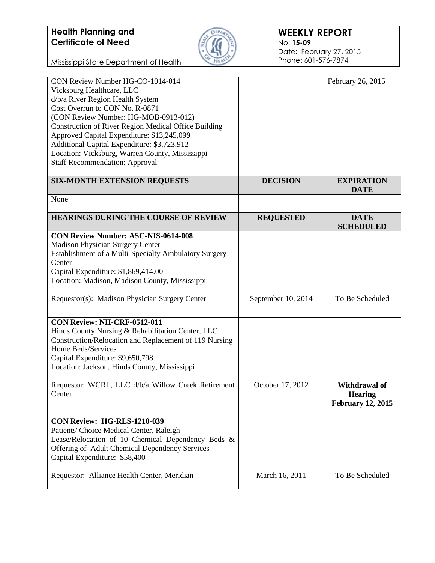## **Health Planning and Certificate of Need**



Mississippi State Department of Health

| CON Review Number HG-CO-1014-014<br>Vicksburg Healthcare, LLC<br>d/b/a River Region Health System<br>Cost Overrun to CON No. R-0871<br>(CON Review Number: HG-MOB-0913-012)<br>Construction of River Region Medical Office Building<br>Approved Capital Expenditure: \$13,245,099<br>Additional Capital Expenditure: \$3,723,912<br>Location: Vicksburg, Warren County, Mississippi<br><b>Staff Recommendation: Approval</b> |                    | February 26, 2015                                           |
|------------------------------------------------------------------------------------------------------------------------------------------------------------------------------------------------------------------------------------------------------------------------------------------------------------------------------------------------------------------------------------------------------------------------------|--------------------|-------------------------------------------------------------|
| <b>SIX-MONTH EXTENSION REQUESTS</b>                                                                                                                                                                                                                                                                                                                                                                                          | <b>DECISION</b>    | <b>EXPIRATION</b><br><b>DATE</b>                            |
| None                                                                                                                                                                                                                                                                                                                                                                                                                         |                    |                                                             |
| <b>HEARINGS DURING THE COURSE OF REVIEW</b>                                                                                                                                                                                                                                                                                                                                                                                  | <b>REQUESTED</b>   | <b>DATE</b><br><b>SCHEDULED</b>                             |
| <b>CON Review Number: ASC-NIS-0614-008</b><br>Madison Physician Surgery Center<br>Establishment of a Multi-Specialty Ambulatory Surgery<br>Center<br>Capital Expenditure: \$1,869,414.00<br>Location: Madison, Madison County, Mississippi                                                                                                                                                                                   |                    |                                                             |
| Requestor(s): Madison Physician Surgery Center                                                                                                                                                                                                                                                                                                                                                                               | September 10, 2014 | To Be Scheduled                                             |
| CON Review: NH-CRF-0512-011<br>Hinds County Nursing & Rehabilitation Center, LLC<br>Construction/Relocation and Replacement of 119 Nursing<br>Home Beds/Services<br>Capital Expenditure: \$9,650,798<br>Location: Jackson, Hinds County, Mississippi                                                                                                                                                                         |                    |                                                             |
| Requestor: WCRL, LLC d/b/a Willow Creek Retirement<br>Center                                                                                                                                                                                                                                                                                                                                                                 | October 17, 2012   | Withdrawal of<br><b>Hearing</b><br><b>February 12, 2015</b> |
| CON Review: HG-RLS-1210-039<br>Patients' Choice Medical Center, Raleigh<br>Lease/Relocation of 10 Chemical Dependency Beds &<br>Offering of Adult Chemical Dependency Services<br>Capital Expenditure: \$58,400                                                                                                                                                                                                              |                    |                                                             |
| Requestor: Alliance Health Center, Meridian                                                                                                                                                                                                                                                                                                                                                                                  | March 16, 2011     | To Be Scheduled                                             |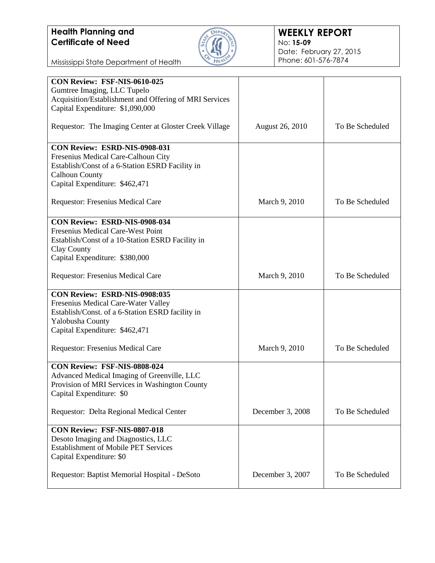

Mississippi State Department of Health

| CON Review: FSF-NIS-0610-025                           |                  |                 |
|--------------------------------------------------------|------------------|-----------------|
| Gumtree Imaging, LLC Tupelo                            |                  |                 |
| Acquisition/Establishment and Offering of MRI Services |                  |                 |
| Capital Expenditure: \$1,090,000                       |                  |                 |
|                                                        |                  |                 |
| Requestor: The Imaging Center at Gloster Creek Village | August 26, 2010  | To Be Scheduled |
|                                                        |                  |                 |
| <b>CON Review: ESRD-NIS-0908-031</b>                   |                  |                 |
| Fresenius Medical Care-Calhoun City                    |                  |                 |
| Establish/Const of a 6-Station ESRD Facility in        |                  |                 |
| <b>Calhoun County</b>                                  |                  |                 |
| Capital Expenditure: \$462,471                         |                  |                 |
|                                                        |                  |                 |
| Requestor: Fresenius Medical Care                      | March 9, 2010    | To Be Scheduled |
|                                                        |                  |                 |
| <b>CON Review: ESRD-NIS-0908-034</b>                   |                  |                 |
| <b>Fresenius Medical Care-West Point</b>               |                  |                 |
| Establish/Const of a 10-Station ESRD Facility in       |                  |                 |
| Clay County                                            |                  |                 |
| Capital Expenditure: \$380,000                         |                  |                 |
|                                                        |                  |                 |
| Requestor: Fresenius Medical Care                      | March 9, 2010    | To Be Scheduled |
|                                                        |                  |                 |
| CON Review: ESRD-NIS-0908:035                          |                  |                 |
| Fresenius Medical Care-Water Valley                    |                  |                 |
| Establish/Const. of a 6-Station ESRD facility in       |                  |                 |
| Yalobusha County                                       |                  |                 |
| Capital Expenditure: \$462,471                         |                  |                 |
|                                                        |                  |                 |
| Requestor: Fresenius Medical Care                      | March 9, 2010    | To Be Scheduled |
|                                                        |                  |                 |
| CON Review: FSF-NIS-0808-024                           |                  |                 |
| Advanced Medical Imaging of Greenville, LLC            |                  |                 |
| Provision of MRI Services in Washington County         |                  |                 |
| Capital Expenditure: \$0                               |                  |                 |
|                                                        |                  |                 |
| Requestor: Delta Regional Medical Center               | December 3, 2008 | To Be Scheduled |
|                                                        |                  |                 |
| <b>CON Review: FSF-NIS-0807-018</b>                    |                  |                 |
| Desoto Imaging and Diagnostics, LLC                    |                  |                 |
| <b>Establishment of Mobile PET Services</b>            |                  |                 |
| Capital Expenditure: \$0                               |                  |                 |
|                                                        |                  |                 |
| Requestor: Baptist Memorial Hospital - DeSoto          | December 3, 2007 | To Be Scheduled |
|                                                        |                  |                 |